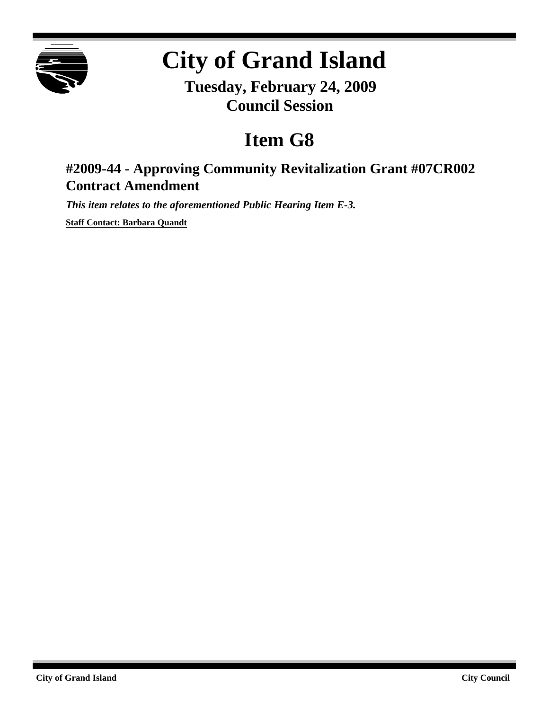

## **City of Grand Island**

**Tuesday, February 24, 2009 Council Session**

## **Item G8**

## **#2009-44 - Approving Community Revitalization Grant #07CR002 Contract Amendment**

*This item relates to the aforementioned Public Hearing Item E-3.*

**Staff Contact: Barbara Quandt**